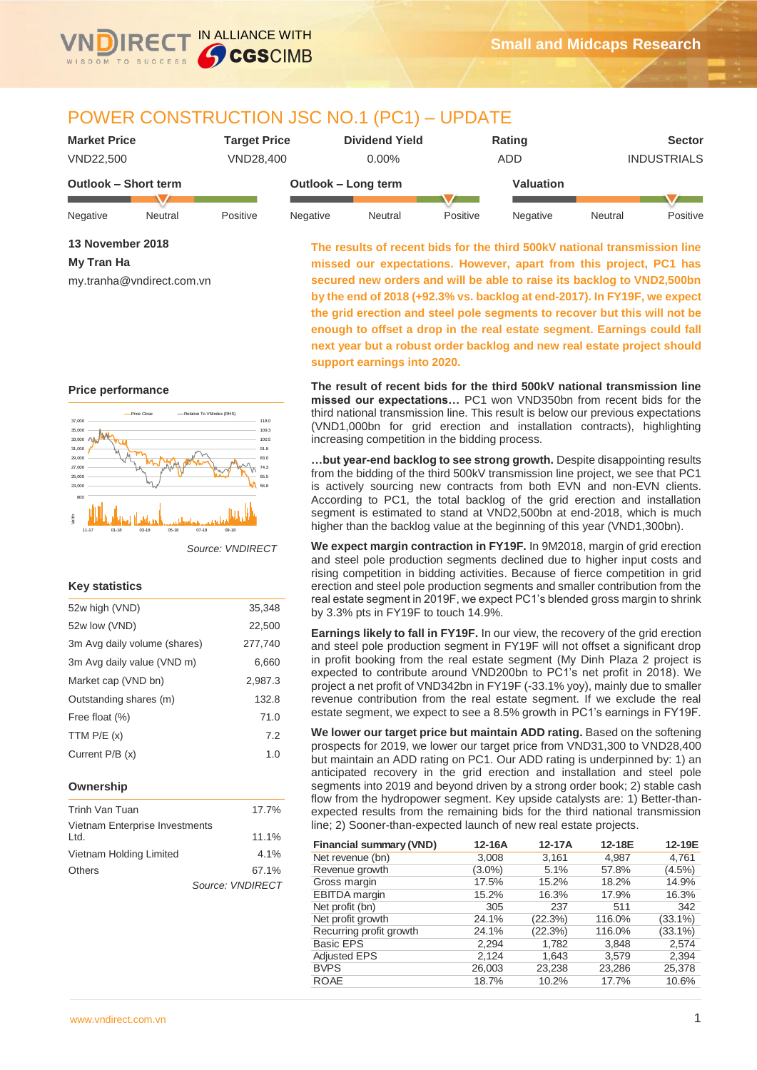

# POWER CONSTRUCTION JSC NO.1 (PC1) – UPDATE

| <b>Market Price</b>         |         | <b>Target Price</b> |          | <b>Dividend Yield</b> |           | Rating   |         | <b>Sector</b>      |
|-----------------------------|---------|---------------------|----------|-----------------------|-----------|----------|---------|--------------------|
| VND22.500                   |         | VND28.400           |          | $0.00\%$              |           | ADD      |         | <b>INDUSTRIALS</b> |
| <b>Outlook - Short term</b> |         | Outlook - Long term |          |                       | Valuation |          |         |                    |
| Negative                    | Neutral | Positive            | Negative | Neutral               | Positive  | Negative | Neutral | Positive           |

| 13 November 2018 |
|------------------|
| My Tran Ha       |

my.tranha@vndirect.com.vn

**The results of recent bids for the third 500kV national transmission line missed our expectations. However, apart from this project, PC1 has secured new orders and will be able to raise its backlog to VND2,500bn by the end of 2018 (+92.3% vs. backlog at end-2017). In FY19F, we expect the grid erection and steel pole segments to recover but this will not be enough to offset a drop in the real estate segment. Earnings could fall next year but a robust order backlog and new real estate project should support earnings into 2020.**

**The result of recent bids for the third 500kV national transmission line missed our expectations…** PC1 won VND350bn from recent bids for the third national transmission line. This result is below our previous expectations (VND1,000bn for grid erection and installation contracts), highlighting increasing competition in the bidding process.

**…but year-end backlog to see strong growth.** Despite disappointing results from the bidding of the third 500kV transmission line project, we see that PC1 is actively sourcing new contracts from both EVN and non-EVN clients. According to PC1, the total backlog of the grid erection and installation segment is estimated to stand at VND2,500bn at end-2018, which is much higher than the backlog value at the beginning of this year (VND1,300bn).

**We expect margin contraction in FY19F.** In 9M2018, margin of grid erection and steel pole production segments declined due to higher input costs and rising competition in bidding activities. Because of fierce competition in grid erection and steel pole production segments and smaller contribution from the real estate segment in 2019F, we expect PC1's blended gross margin to shrink by 3.3% pts in FY19F to touch 14.9%.

**Earnings likely to fall in FY19F.** In our view, the recovery of the grid erection and steel pole production segment in FY19F will not offset a significant drop in profit booking from the real estate segment (My Dinh Plaza 2 project is expected to contribute around VND200bn to PC1's net profit in 2018). We project a net profit of VND342bn in FY19F (-33.1% yoy), mainly due to smaller revenue contribution from the real estate segment. If we exclude the real estate segment, we expect to see a 8.5% growth in PC1's earnings in FY19F.

**We lower our target price but maintain ADD rating.** Based on the softening prospects for 2019, we lower our target price from VND31,300 to VND28,400 but maintain an ADD rating on PC1. Our ADD rating is underpinned by: 1) an anticipated recovery in the grid erection and installation and steel pole segments into 2019 and beyond driven by a strong order book; 2) stable cash flow from the hydropower segment. Key upside catalysts are: 1) Better-thanexpected results from the remaining bids for the third national transmission line; 2) Sooner-than-expected launch of new real estate projects.

| <b>Financial summary (VND)</b> | 12-16A    | 12-17A  | 12-18E | 12-19E     |
|--------------------------------|-----------|---------|--------|------------|
| Net revenue (bn)               | 3,008     | 3,161   | 4,987  | 4,761      |
| Revenue growth                 | $(3.0\%)$ | 5.1%    | 57.8%  | $(4.5\%)$  |
| Gross margin                   | 17.5%     | 15.2%   | 18.2%  | 14.9%      |
| <b>EBITDA</b> margin           | 15.2%     | 16.3%   | 17.9%  | 16.3%      |
| Net profit (bn)                | 305       | 237     | 511    | 342        |
| Net profit growth              | 24.1%     | (22.3%) | 116.0% | $(33.1\%)$ |
| Recurring profit growth        | 24.1%     | (22.3%) | 116.0% | $(33.1\%)$ |
| <b>Basic EPS</b>               | 2,294     | 1,782   | 3,848  | 2,574      |
| <b>Adjusted EPS</b>            | 2,124     | 1,643   | 3.579  | 2,394      |
| <b>BVPS</b>                    | 26,003    | 23,238  | 23,286 | 25,378     |
| <b>ROAE</b>                    | 18.7%     | 10.2%   | 17.7%  | 10.6%      |

### **Price performance**



*Source: VNDIRECT*

### **Key statistics**

| 52w high (VND)               | 35.348  |
|------------------------------|---------|
| 52w low (VND)                | 22,500  |
| 3m Avg daily volume (shares) | 277,740 |
| 3m Avg daily value (VND m)   | 6.660   |
| Market cap (VND bn)          | 2,987.3 |
| Outstanding shares (m)       | 132.8   |
| Free float (%)               | 71.0    |
| TTM $P/E(x)$                 | 7.2     |
| Current P/B (x)              | 1.0     |
|                              |         |

### **Ownership**

| Trinh Van Tuan                         | 17.7%            |
|----------------------------------------|------------------|
| Vietnam Enterprise Investments<br>Ltd. | 11.1%            |
| Vietnam Holding Limited                | 4.1%             |
| <b>Others</b>                          | 67.1%            |
|                                        | Source: VNDIRECT |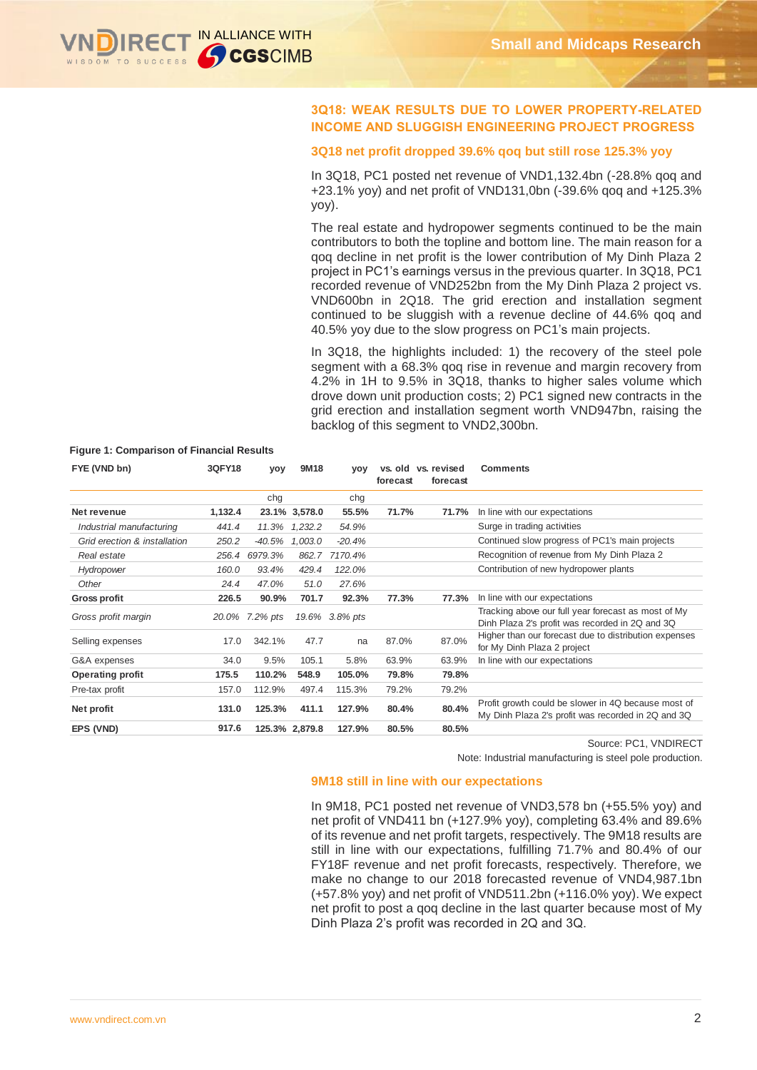

# **3Q18: WEAK RESULTS DUE TO LOWER PROPERTY-RELATED INCOME AND SLUGGISH ENGINEERING PROJECT PROGRESS**

#### **3Q18 net profit dropped 39.6% qoq but still rose 125.3% yoy**

In 3Q18, PC1 posted net revenue of VND1,132.4bn (-28.8% qoq and +23.1% yoy) and net profit of VND131,0bn (-39.6% qoq and +125.3% yoy).

The real estate and hydropower segments continued to be the main contributors to both the topline and bottom line. The main reason for a qoq decline in net profit is the lower contribution of My Dinh Plaza 2 project in PC1's earnings versus in the previous quarter. In 3Q18, PC1 recorded revenue of VND252bn from the My Dinh Plaza 2 project vs. VND600bn in 2Q18. The grid erection and installation segment continued to be sluggish with a revenue decline of 44.6% qoq and 40.5% yoy due to the slow progress on PC1's main projects.

In 3Q18, the highlights included: 1) the recovery of the steel pole segment with a 68.3% qoq rise in revenue and margin recovery from 4.2% in 1H to 9.5% in 3Q18, thanks to higher sales volume which drove down unit production costs; 2) PC1 signed new contracts in the grid erection and installation segment worth VND947bn, raising the backlog of this segment to VND2,300bn.

| FYE (VND bn)                 | 3QFY18  | yoy            | 9M18           | <b>VOV</b>     | forecast | vs. old vs. revised<br>forecast | <b>Comments</b>                                                                                           |
|------------------------------|---------|----------------|----------------|----------------|----------|---------------------------------|-----------------------------------------------------------------------------------------------------------|
|                              |         | chg            |                | chg            |          |                                 |                                                                                                           |
| Net revenue                  | 1,132.4 |                | 23.1% 3,578.0  | 55.5%          | 71.7%    | 71.7%                           | In line with our expectations                                                                             |
| Industrial manufacturing     | 441.4   | 11.3%          | 1,232.2        | 54.9%          |          |                                 | Surge in trading activities                                                                               |
| Grid erection & installation | 250.2   | -40.5%         | 1,003.0        | $-20.4%$       |          |                                 | Continued slow progress of PC1's main projects                                                            |
| Real estate                  | 256.4   | 6979.3%        | 862.7          | 7170.4%        |          |                                 | Recognition of revenue from My Dinh Plaza 2                                                               |
| Hydropower                   | 160.0   | 93.4%          | 429.4          | 122.0%         |          |                                 | Contribution of new hydropower plants                                                                     |
| Other                        | 24.4    | 47.0%          | 51.0           | 27.6%          |          |                                 |                                                                                                           |
| <b>Gross profit</b>          | 226.5   | 90.9%          | 701.7          | 92.3%          | 77.3%    | 77.3%                           | In line with our expectations                                                                             |
| Gross profit margin          |         | 20.0% 7.2% pts |                | 19.6% 3.8% pts |          |                                 | Tracking above our full year forecast as most of My<br>Dinh Plaza 2's profit was recorded in 2Q and 3Q    |
| Selling expenses             | 17.0    | 342.1%         | 47.7           | na             | 87.0%    | 87.0%                           | Higher than our forecast due to distribution expenses<br>for My Dinh Plaza 2 project                      |
| G&A expenses                 | 34.0    | 9.5%           | 105.1          | 5.8%           | 63.9%    | 63.9%                           | In line with our expectations                                                                             |
| <b>Operating profit</b>      | 175.5   | 110.2%         | 548.9          | 105.0%         | 79.8%    | 79.8%                           |                                                                                                           |
| Pre-tax profit               | 157.0   | 112.9%         | 497.4          | 115.3%         | 79.2%    | 79.2%                           |                                                                                                           |
| Net profit                   | 131.0   | 125.3%         | 411.1          | 127.9%         | 80.4%    | 80.4%                           | Profit growth could be slower in 4Q because most of<br>My Dinh Plaza 2's profit was recorded in 2Q and 3Q |
| EPS (VND)                    | 917.6   |                | 125.3% 2,879.8 | 127.9%         | 80.5%    | 80.5%                           |                                                                                                           |

### **Figure 1: Comparison of Financial Results**

Source: PC1, VNDIRECT

Note: Industrial manufacturing is steel pole production.

#### **9M18 still in line with our expectations**

In 9M18, PC1 posted net revenue of VND3,578 bn (+55.5% yoy) and net profit of VND411 bn (+127.9% yoy), completing 63.4% and 89.6% of its revenue and net profit targets, respectively. The 9M18 results are still in line with our expectations, fulfilling 71.7% and 80.4% of our FY18F revenue and net profit forecasts, respectively. Therefore, we make no change to our 2018 forecasted revenue of VND4,987.1bn (+57.8% yoy) and net profit of VND511.2bn (+116.0% yoy). We expect net profit to post a qoq decline in the last quarter because most of My Dinh Plaza 2's profit was recorded in 2Q and 3Q.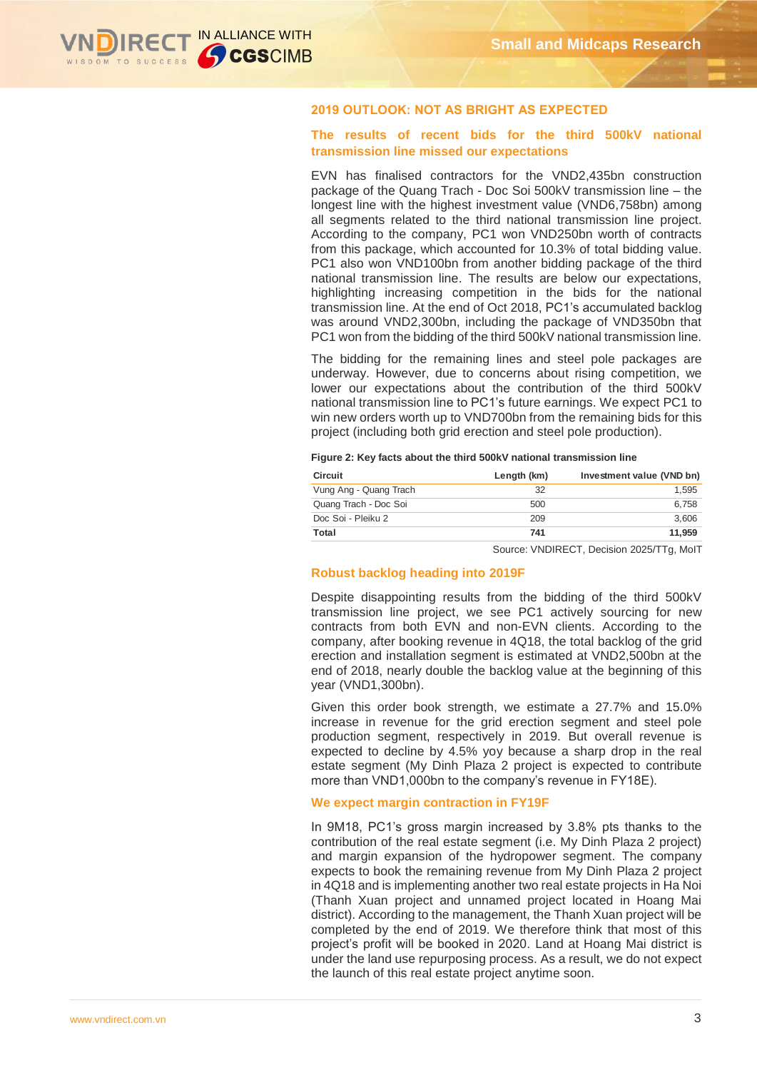

### **2019 OUTLOOK: NOT AS BRIGHT AS EXPECTED**

# **The results of recent bids for the third 500kV national transmission line missed our expectations**

EVN has finalised contractors for the VND2,435bn construction package of the Quang Trach - Doc Soi 500kV transmission line – the longest line with the highest investment value (VND6,758bn) among all segments related to the third national transmission line project. According to the company, PC1 won VND250bn worth of contracts from this package, which accounted for 10.3% of total bidding value. PC1 also won VND100bn from another bidding package of the third national transmission line. The results are below our expectations, highlighting increasing competition in the bids for the national transmission line. At the end of Oct 2018, PC1's accumulated backlog was around VND2,300bn, including the package of VND350bn that PC1 won from the bidding of the third 500kV national transmission line.

The bidding for the remaining lines and steel pole packages are underway. However, due to concerns about rising competition, we lower our expectations about the contribution of the third 500kV national transmission line to PC1's future earnings. We expect PC1 to win new orders worth up to VND700bn from the remaining bids for this project (including both grid erection and steel pole production).

|  |  |  |  | Figure 2: Key facts about the third 500kV national transmission line |  |
|--|--|--|--|----------------------------------------------------------------------|--|
|  |  |  |  |                                                                      |  |

| <b>Circuit</b>         | Length (km) | Investment value (VND bn) |
|------------------------|-------------|---------------------------|
| Vung Ang - Quang Trach | 32          | 1.595                     |
| Quang Trach - Doc Soi  | 500         | 6.758                     |
| Doc Soi - Pleiku 2     | 209         | 3.606                     |
| Total                  | 741         | 11.959                    |

Source: VNDIRECT, Decision 2025/TTg, MoIT

#### **Robust backlog heading into 2019F**

Despite disappointing results from the bidding of the third 500kV transmission line project, we see PC1 actively sourcing for new contracts from both EVN and non-EVN clients. According to the company, after booking revenue in 4Q18, the total backlog of the grid erection and installation segment is estimated at VND2,500bn at the end of 2018, nearly double the backlog value at the beginning of this year (VND1,300bn).

Given this order book strength, we estimate a 27.7% and 15.0% increase in revenue for the grid erection segment and steel pole production segment, respectively in 2019. But overall revenue is expected to decline by 4.5% yoy because a sharp drop in the real estate segment (My Dinh Plaza 2 project is expected to contribute more than VND1,000bn to the company's revenue in FY18E).

#### **We expect margin contraction in FY19F**

In 9M18, PC1's gross margin increased by 3.8% pts thanks to the contribution of the real estate segment (i.e. My Dinh Plaza 2 project) and margin expansion of the hydropower segment. The company expects to book the remaining revenue from My Dinh Plaza 2 project in 4Q18 and is implementing another two real estate projects in Ha Noi (Thanh Xuan project and unnamed project located in Hoang Mai district). According to the management, the Thanh Xuan project will be completed by the end of 2019. We therefore think that most of this project's profit will be booked in 2020. Land at Hoang Mai district is under the land use repurposing process. As a result, we do not expect the launch of this real estate project anytime soon.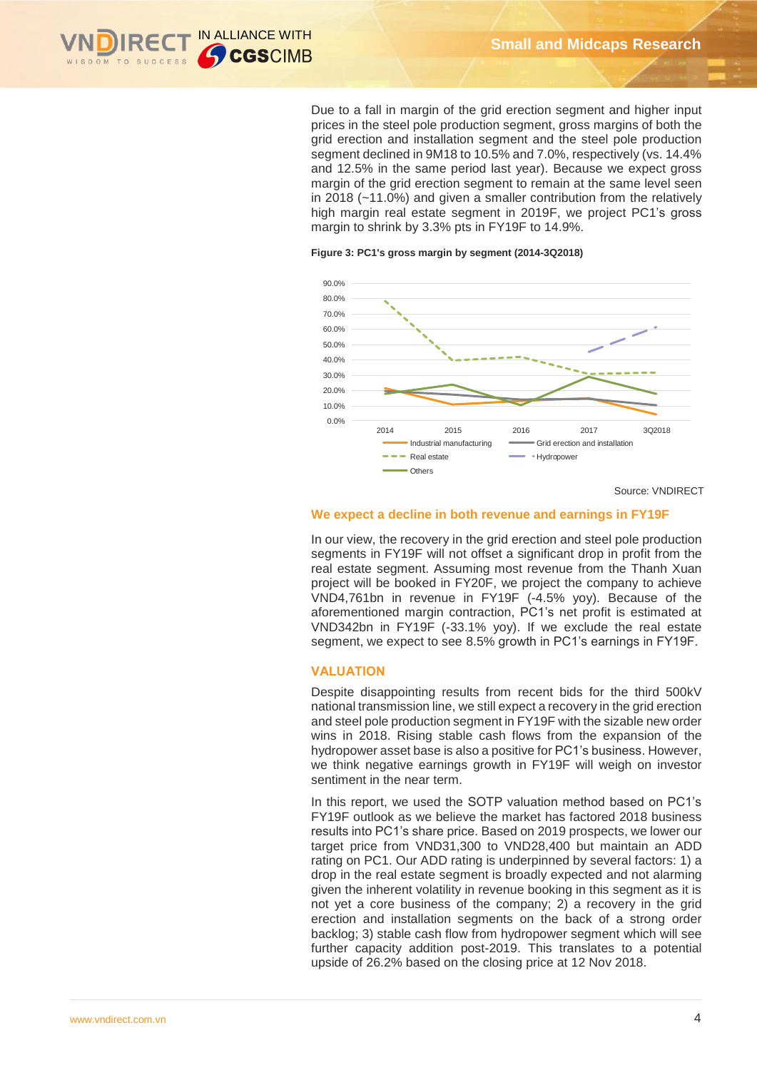

Due to a fall in margin of the grid erection segment and higher input prices in the steel pole production segment, gross margins of both the grid erection and installation segment and the steel pole production segment declined in 9M18 to 10.5% and 7.0%, respectively (vs. 14.4% and 12.5% in the same period last year). Because we expect gross margin of the grid erection segment to remain at the same level seen in 2018 (~11.0%) and given a smaller contribution from the relatively high margin real estate segment in 2019F, we project PC1's gross margin to shrink by 3.3% pts in FY19F to 14.9%.

#### **Figure 3: PC1's gross margin by segment (2014-3Q2018)**



Source: VNDIRECT

#### **We expect a decline in both revenue and earnings in FY19F**

In our view, the recovery in the grid erection and steel pole production segments in FY19F will not offset a significant drop in profit from the real estate segment. Assuming most revenue from the Thanh Xuan project will be booked in FY20F, we project the company to achieve VND4,761bn in revenue in FY19F (-4.5% yoy). Because of the aforementioned margin contraction, PC1's net profit is estimated at VND342bn in FY19F (-33.1% yoy). If we exclude the real estate segment, we expect to see 8.5% growth in PC1's earnings in FY19F.

#### **VALUATION**

Despite disappointing results from recent bids for the third 500kV national transmission line, we still expect a recovery in the grid erection and steel pole production segment in FY19F with the sizable new order wins in 2018. Rising stable cash flows from the expansion of the hydropower asset base is also a positive for PC1's business. However, we think negative earnings growth in FY19F will weigh on investor sentiment in the near term.

In this report, we used the SOTP valuation method based on PC1's FY19F outlook as we believe the market has factored 2018 business results into PC1's share price. Based on 2019 prospects, we lower our target price from VND31,300 to VND28,400 but maintain an ADD rating on PC1. Our ADD rating is underpinned by several factors: 1) a drop in the real estate segment is broadly expected and not alarming given the inherent volatility in revenue booking in this segment as it is not yet a core business of the company; 2) a recovery in the grid erection and installation segments on the back of a strong order backlog; 3) stable cash flow from hydropower segment which will see further capacity addition post-2019. This translates to a potential upside of 26.2% based on the closing price at 12 Nov 2018.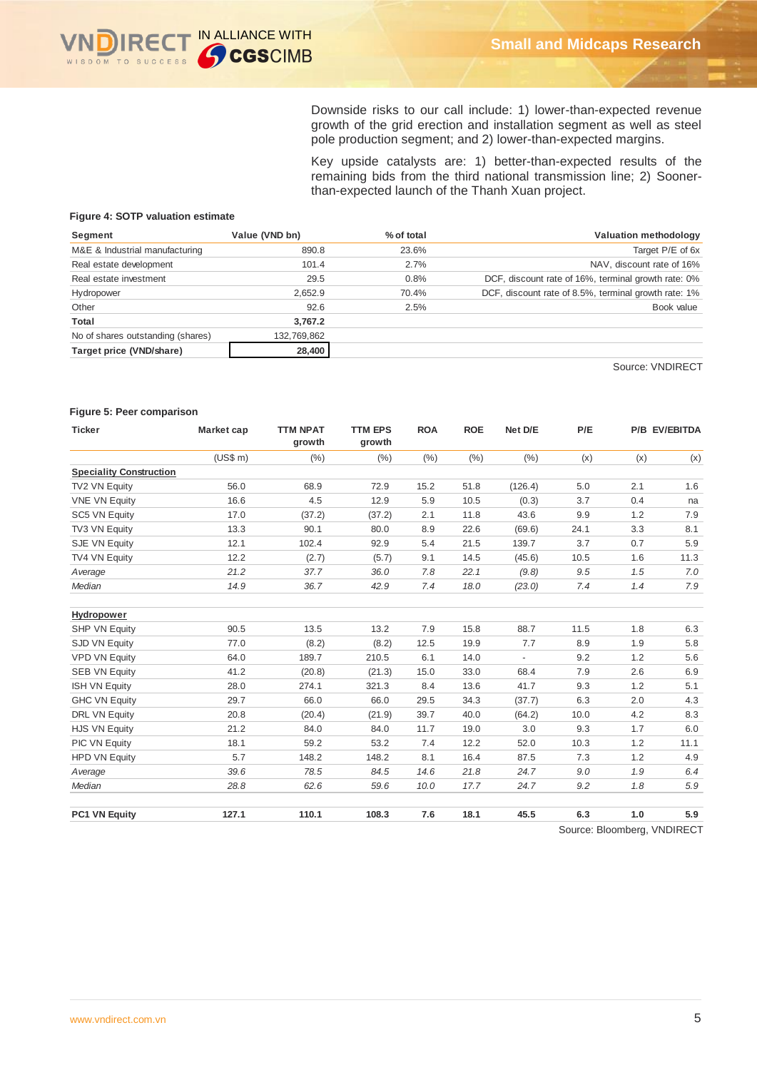

Downside risks to our call include: 1) lower-than-expected revenue growth of the grid erection and installation segment as well as steel pole production segment; and 2) lower-than-expected margins.

Key upside catalysts are: 1) better-than-expected results of the remaining bids from the third national transmission line; 2) Soonerthan-expected launch of the Thanh Xuan project.

### **Figure 4: SOTP valuation estimate**

| Segment                           | Value (VND bn) | % of total | Valuation methodology                                |
|-----------------------------------|----------------|------------|------------------------------------------------------|
| M&E & Industrial manufacturing    | 890.8          | 23.6%      | Target P/E of 6x                                     |
| Real estate development           | 101.4          | 2.7%       | NAV, discount rate of 16%                            |
| Real estate investment            | 29.5           | 0.8%       | DCF, discount rate of 16%, terminal growth rate: 0%  |
| Hydropower                        | 2.652.9        | 70.4%      | DCF, discount rate of 8.5%, terminal growth rate: 1% |
| Other                             | 92.6           | 2.5%       | Book value                                           |
| Total                             | 3.767.2        |            |                                                      |
| No of shares outstanding (shares) | 132,769,862    |            |                                                      |
| Target price (VND/share)          | 28,400         |            |                                                      |

Source: VNDIRECT

#### **Figure 5: Peer comparison**

| Ticker                         | Market cap | <b>TTM NPAT</b><br>growth | <b>TTM EPS</b><br>growth | <b>ROA</b> | <b>ROE</b> | Net D/E                  | P/E  |     | P/B EV/EBITDA |
|--------------------------------|------------|---------------------------|--------------------------|------------|------------|--------------------------|------|-----|---------------|
|                                | (US\$ m)   | (%)                       | (%)                      | (% )       | (%)        | (% )                     | (x)  | (x) | (x)           |
| <b>Speciality Construction</b> |            |                           |                          |            |            |                          |      |     |               |
| TV2 VN Equity                  | 56.0       | 68.9                      | 72.9                     | 15.2       | 51.8       | (126.4)                  | 5.0  | 2.1 | 1.6           |
| <b>VNE VN Equity</b>           | 16.6       | 4.5                       | 12.9                     | 5.9        | 10.5       | (0.3)                    | 3.7  | 0.4 | na            |
| SC5 VN Equity                  | 17.0       | (37.2)                    | (37.2)                   | 2.1        | 11.8       | 43.6                     | 9.9  | 1.2 | 7.9           |
| TV3 VN Equity                  | 13.3       | 90.1                      | 80.0                     | 8.9        | 22.6       | (69.6)                   | 24.1 | 3.3 | 8.1           |
| SJE VN Equity                  | 12.1       | 102.4                     | 92.9                     | 5.4        | 21.5       | 139.7                    | 3.7  | 0.7 | 5.9           |
| TV4 VN Equity                  | 12.2       | (2.7)                     | (5.7)                    | 9.1        | 14.5       | (45.6)                   | 10.5 | 1.6 | 11.3          |
| Average                        | 21.2       | 37.7                      | 36.0                     | 7.8        | 22.1       | (9.8)                    | 9.5  | 1.5 | 7.0           |
| Median                         | 14.9       | 36.7                      | 42.9                     | 7.4        | 18.0       | (23.0)                   | 7.4  | 1.4 | 7.9           |
| <b>Hydropower</b>              |            |                           |                          |            |            |                          |      |     |               |
| SHP VN Equity                  | 90.5       | 13.5                      | 13.2                     | 7.9        | 15.8       | 88.7                     | 11.5 | 1.8 | 6.3           |
| SJD VN Equity                  | 77.0       | (8.2)                     | (8.2)                    | 12.5       | 19.9       | 7.7                      | 8.9  | 1.9 | 5.8           |
| <b>VPD VN Equity</b>           | 64.0       | 189.7                     | 210.5                    | 6.1        | 14.0       | $\overline{\phantom{a}}$ | 9.2  | 1.2 | 5.6           |
| <b>SEB VN Equity</b>           | 41.2       | (20.8)                    | (21.3)                   | 15.0       | 33.0       | 68.4                     | 7.9  | 2.6 | 6.9           |
| <b>ISH VN Equity</b>           | 28.0       | 274.1                     | 321.3                    | 8.4        | 13.6       | 41.7                     | 9.3  | 1.2 | 5.1           |
| <b>GHC VN Equity</b>           | 29.7       | 66.0                      | 66.0                     | 29.5       | 34.3       | (37.7)                   | 6.3  | 2.0 | 4.3           |
| DRL VN Equity                  | 20.8       | (20.4)                    | (21.9)                   | 39.7       | 40.0       | (64.2)                   | 10.0 | 4.2 | 8.3           |
| <b>HJS VN Equity</b>           | 21.2       | 84.0                      | 84.0                     | 11.7       | 19.0       | 3.0                      | 9.3  | 1.7 | 6.0           |
| PIC VN Equity                  | 18.1       | 59.2                      | 53.2                     | 7.4        | 12.2       | 52.0                     | 10.3 | 1.2 | 11.1          |
| <b>HPD VN Equity</b>           | 5.7        | 148.2                     | 148.2                    | 8.1        | 16.4       | 87.5                     | 7.3  | 1.2 | 4.9           |
| Average                        | 39.6       | 78.5                      | 84.5                     | 14.6       | 21.8       | 24.7                     | 9.0  | 1.9 | 6.4           |
| Median                         | 28.8       | 62.6                      | 59.6                     | 10.0       | 17.7       | 24.7                     | 9.2  | 1.8 | 5.9           |
| <b>PC1 VN Equity</b>           | 127.1      | 110.1                     | 108.3                    | 7.6        | 18.1       | 45.5                     | 6.3  | 1.0 | 5.9           |

Source: Bloomberg, VNDIRECT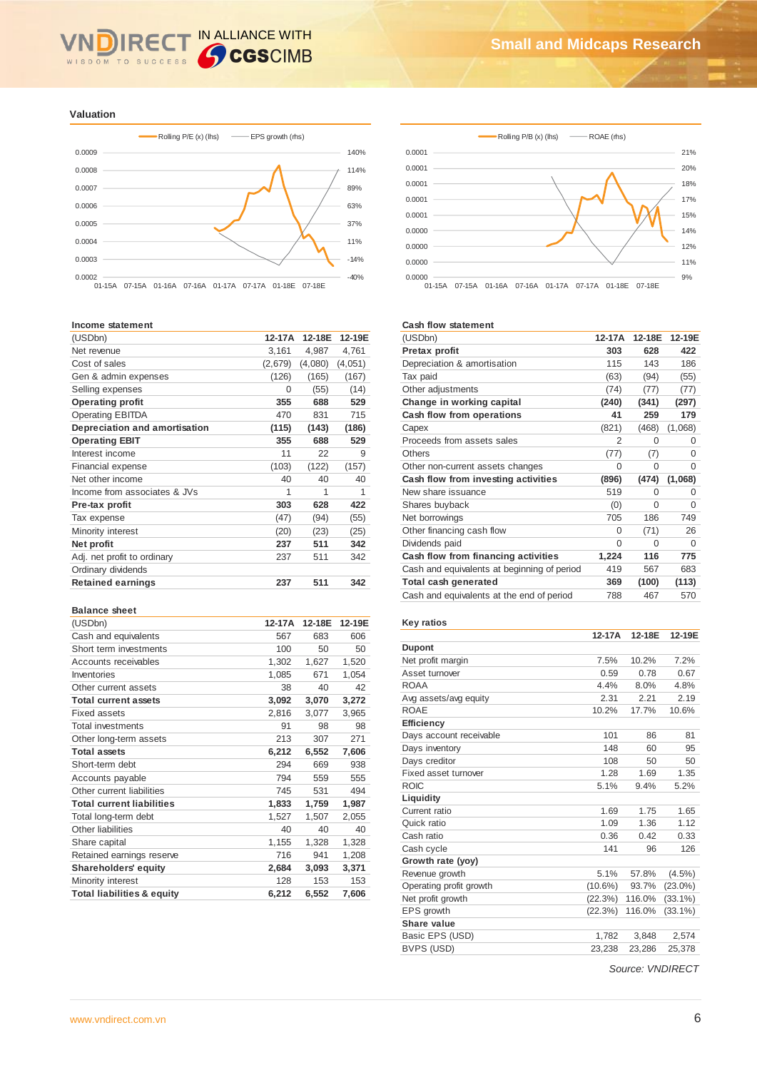### IN ALLIANCE WITH RE WISDOM TO SUCCESS

#### **Valuation**



#### **Income statement**

| (USDbn)                       | 12-17A  | 12-18E  | 12-19E  |
|-------------------------------|---------|---------|---------|
| Net revenue                   | 3,161   | 4,987   | 4,761   |
| Cost of sales                 | (2,679) | (4,080) | (4,051) |
| Gen & admin expenses          | (126)   | (165)   | (167)   |
| Selling expenses              | 0       | (55)    | (14)    |
| <b>Operating profit</b>       | 355     | 688     | 529     |
| <b>Operating EBITDA</b>       | 470     | 831     | 715     |
| Depreciation and amortisation | (115)   | (143)   | (186)   |
| <b>Operating EBIT</b>         | 355     | 688     | 529     |
| Interest income               | 11      | 22      | 9       |
| Financial expense             | (103)   | (122)   | (157)   |
| Net other income              | 40      | 40      | 40      |
| Income from associates & JVs  | 1       | 1       | 1       |
| Pre-tax profit                | 303     | 628     | 422     |
| Tax expense                   | (47)    | (94)    | (55)    |
| Minority interest             | (20)    | (23)    | (25)    |
| Net profit                    | 237     | 511     | 342     |
| Adj. net profit to ordinary   | 237     | 511     | 342     |
| Ordinary dividends            |         |         |         |
| <b>Retained earnings</b>      | 237     | 511     | 342     |

#### **Balance sheet**

| (USDbn)                               | 12-17A | 12-18E | 12-19E |
|---------------------------------------|--------|--------|--------|
| Cash and equivalents                  | 567    | 683    | 606    |
| Short term investments                | 100    | 50     | 50     |
| Accounts receivables                  | 1,302  | 1,627  | 1,520  |
| Inventories                           | 1,085  | 671    | 1,054  |
| Other current assets                  | 38     | 40     | 42     |
| <b>Total current assets</b>           | 3,092  | 3,070  | 3,272  |
| Fixed assets                          | 2,816  | 3,077  | 3,965  |
| <b>Total investments</b>              | 91     | 98     | 98     |
| Other long-term assets                | 213    | 307    | 271    |
| <b>Total assets</b>                   | 6,212  | 6,552  | 7,606  |
| Short-term debt                       | 294    | 669    | 938    |
| Accounts payable                      | 794    | 559    | 555    |
| Other current liabilities             | 745    | 531    | 494    |
| <b>Total current liabilities</b>      | 1,833  | 1,759  | 1,987  |
| Total long-term debt                  | 1,527  | 1,507  | 2,055  |
| Other liabilities                     | 40     | 40     | 40     |
| Share capital                         | 1,155  | 1,328  | 1,328  |
| Retained earnings reserve             | 716    | 941    | 1,208  |
| <b>Shareholders' equity</b>           | 2,684  | 3,093  | 3,371  |
| Minority interest                     | 128    | 153    | 153    |
| <b>Total liabilities &amp; equity</b> | 6,212  | 6,552  | 7,606  |





#### **Cash flow statement**

| (USDbn)                                     | 12-17A | 12-18E   | 12-19E  |
|---------------------------------------------|--------|----------|---------|
| Pretax profit                               | 303    | 628      | 422     |
| Depreciation & amortisation                 | 115    | 143      | 186     |
| Tax paid                                    | (63)   | (94)     | (55)    |
| Other adjustments                           | (74)   | (77)     | (77)    |
| Change in working capital                   | (240)  | (341)    | (297)   |
| Cash flow from operations                   | 41     | 259      | 179     |
| Capex                                       | (821)  | (468)    | (1,068) |
| Proceeds from assets sales                  | 2      | 0        | 0       |
| Others                                      | (77)   | (7)      | 0       |
| Other non-current assets changes            | 0      | 0        | 0       |
| Cash flow from investing activities         | (896)  | (474)    | (1,068) |
| New share issuance                          | 519    | 0        | 0       |
| Shares buyback                              | (0)    | 0        | 0       |
| Net borrowings                              | 705    | 186      | 749     |
| Other financing cash flow                   | 0      | (71)     | 26      |
| Dividends paid                              | 0      | $\Omega$ | 0       |
| Cash flow from financing activities         | 1,224  | 116      | 775     |
| Cash and equivalents at beginning of period | 419    | 567      | 683     |
| Total cash generated                        | 369    | (100)    | (113)   |
| Cash and equivalents at the end of period   | 788    | 467      | 570     |

#### **Key ratios**

|                         | 12-17A     | 12-18E | 12-19E     |
|-------------------------|------------|--------|------------|
| <b>Dupont</b>           |            |        |            |
| Net profit margin       | 7.5%       | 10.2%  | 7.2%       |
| Asset turnover          | 0.59       | 0.78   | 0.67       |
| <b>ROAA</b>             | 4.4%       | 8.0%   | 4.8%       |
| Avg assets/avg equity   | 2.31       | 2.21   | 2.19       |
| <b>ROAE</b>             | 10.2%      | 17.7%  | 10.6%      |
| <b>Efficiency</b>       |            |        |            |
| Days account receivable | 101        | 86     | 81         |
| Days inventory          | 148        | 60     | 95         |
| Days creditor           | 108        | 50     | 50         |
| Fixed asset turnover    | 1.28       | 1.69   | 1.35       |
| <b>ROIC</b>             | 5.1%       | 9.4%   | 5.2%       |
| Liquidity               |            |        |            |
| Current ratio           | 1.69       | 1.75   | 1.65       |
| Quick ratio             | 1.09       | 1.36   | 1.12       |
| Cash ratio              | 0.36       | 0.42   | 0.33       |
| Cash cycle              | 141        | 96     | 126        |
| Growth rate (yoy)       |            |        |            |
| Revenue growth          | 5.1%       | 57.8%  | $(4.5\%)$  |
| Operating profit growth | $(10.6\%)$ | 93.7%  | $(23.0\%)$ |
| Net profit growth       | (22.3%)    | 116.0% | $(33.1\%)$ |
| EPS growth              | (22.3%)    | 116.0% | $(33.1\%)$ |
| Share value             |            |        |            |
| Basic EPS (USD)         | 1,782      | 3,848  | 2,574      |
| <b>BVPS (USD)</b>       | 23,238     | 23,286 | 25,378     |

*Source: VNDIRECT*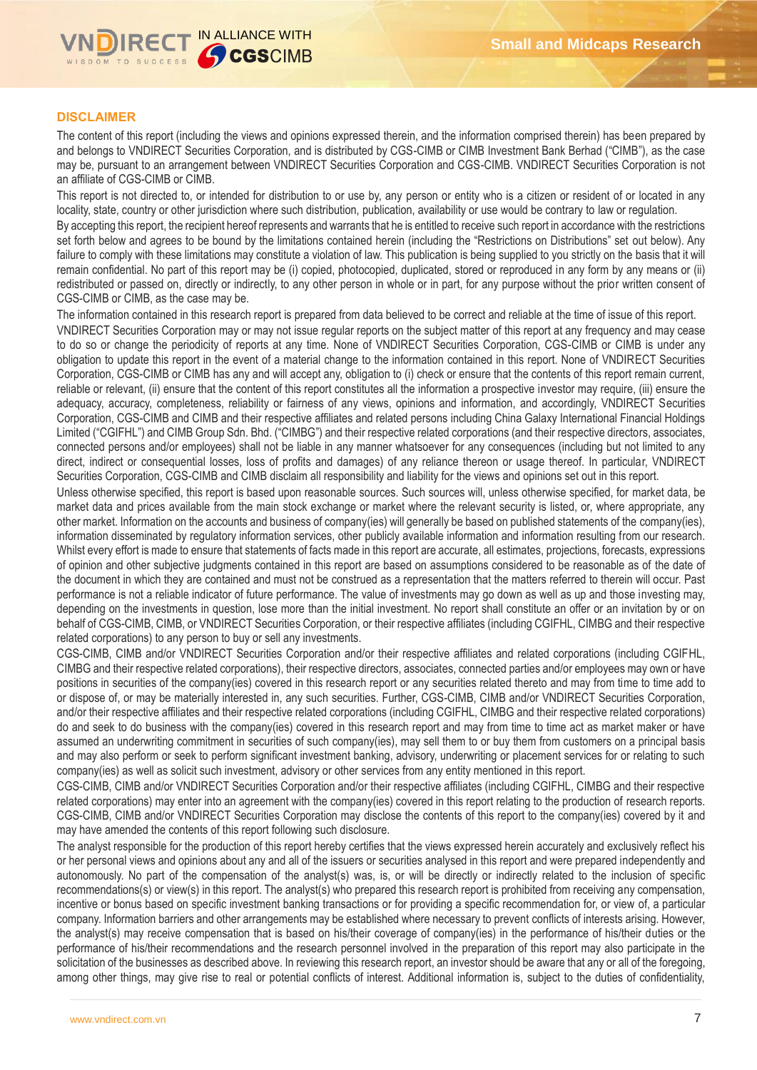

# **DISCLAIMER**

The content of this report (including the views and opinions expressed therein, and the information comprised therein) has been prepared by and belongs to VNDIRECT Securities Corporation, and is distributed by CGS-CIMB or CIMB Investment Bank Berhad ("CIMB"), as the case may be, pursuant to an arrangement between VNDIRECT Securities Corporation and CGS-CIMB. VNDIRECT Securities Corporation is not an affiliate of CGS-CIMB or CIMB.

This report is not directed to, or intended for distribution to or use by, any person or entity who is a citizen or resident of or located in any locality, state, country or other jurisdiction where such distribution, publication, availability or use would be contrary to law or regulation.

By accepting this report, the recipient hereof represents and warrants that he is entitled to receive such report in accordance with the restrictions set forth below and agrees to be bound by the limitations contained herein (including the "Restrictions on Distributions" set out below). Any failure to comply with these limitations may constitute a violation of law. This publication is being supplied to you strictly on the basis that it will remain confidential. No part of this report may be (i) copied, photocopied, duplicated, stored or reproduced in any form by any means or (ii) redistributed or passed on, directly or indirectly, to any other person in whole or in part, for any purpose without the prior written consent of CGS-CIMB or CIMB, as the case may be.

The information contained in this research report is prepared from data believed to be correct and reliable at the time of issue of this report. VNDIRECT Securities Corporation may or may not issue regular reports on the subject matter of this report at any frequency and may cease to do so or change the periodicity of reports at any time. None of VNDIRECT Securities Corporation, CGS-CIMB or CIMB is under any obligation to update this report in the event of a material change to the information contained in this report. None of VNDIRECT Securities Corporation, CGS-CIMB or CIMB has any and will accept any, obligation to (i) check or ensure that the contents of this report remain current, reliable or relevant, (ii) ensure that the content of this report constitutes all the information a prospective investor may require, (iii) ensure the adequacy, accuracy, completeness, reliability or fairness of any views, opinions and information, and accordingly, VNDIRECT Securities Corporation, CGS-CIMB and CIMB and their respective affiliates and related persons including China Galaxy International Financial Holdings Limited ("CGIFHL") and CIMB Group Sdn. Bhd. ("CIMBG") and their respective related corporations (and their respective directors, associates, connected persons and/or employees) shall not be liable in any manner whatsoever for any consequences (including but not limited to any direct, indirect or consequential losses, loss of profits and damages) of any reliance thereon or usage thereof. In particular, VNDIRECT Securities Corporation, CGS-CIMB and CIMB disclaim all responsibility and liability for the views and opinions set out in this report.

Unless otherwise specified, this report is based upon reasonable sources. Such sources will, unless otherwise specified, for market data, be market data and prices available from the main stock exchange or market where the relevant security is listed, or, where appropriate, any other market. Information on the accounts and business of company(ies) will generally be based on published statements of the company(ies), information disseminated by regulatory information services, other publicly available information and information resulting from our research. Whilst every effort is made to ensure that statements of facts made in this report are accurate, all estimates, projections, forecasts, expressions of opinion and other subjective judgments contained in this report are based on assumptions considered to be reasonable as of the date of the document in which they are contained and must not be construed as a representation that the matters referred to therein will occur. Past performance is not a reliable indicator of future performance. The value of investments may go down as well as up and those investing may, depending on the investments in question, lose more than the initial investment. No report shall constitute an offer or an invitation by or on behalf of CGS-CIMB, CIMB, or VNDIRECT Securities Corporation, or their respective affiliates (including CGIFHL, CIMBG and their respective related corporations) to any person to buy or sell any investments.

CGS-CIMB, CIMB and/or VNDIRECT Securities Corporation and/or their respective affiliates and related corporations (including CGIFHL, CIMBG and their respective related corporations), their respective directors, associates, connected parties and/or employees may own or have positions in securities of the company(ies) covered in this research report or any securities related thereto and may from time to time add to or dispose of, or may be materially interested in, any such securities. Further, CGS-CIMB, CIMB and/or VNDIRECT Securities Corporation, and/or their respective affiliates and their respective related corporations (including CGIFHL, CIMBG and their respective related corporations) do and seek to do business with the company(ies) covered in this research report and may from time to time act as market maker or have assumed an underwriting commitment in securities of such company(ies), may sell them to or buy them from customers on a principal basis and may also perform or seek to perform significant investment banking, advisory, underwriting or placement services for or relating to such company(ies) as well as solicit such investment, advisory or other services from any entity mentioned in this report.

CGS-CIMB, CIMB and/or VNDIRECT Securities Corporation and/or their respective affiliates (including CGIFHL, CIMBG and their respective related corporations) may enter into an agreement with the company(ies) covered in this report relating to the production of research reports. CGS-CIMB, CIMB and/or VNDIRECT Securities Corporation may disclose the contents of this report to the company(ies) covered by it and may have amended the contents of this report following such disclosure.

The analyst responsible for the production of this report hereby certifies that the views expressed herein accurately and exclusively reflect his or her personal views and opinions about any and all of the issuers or securities analysed in this report and were prepared independently and autonomously. No part of the compensation of the analyst(s) was, is, or will be directly or indirectly related to the inclusion of specific recommendations(s) or view(s) in this report. The analyst(s) who prepared this research report is prohibited from receiving any compensation, incentive or bonus based on specific investment banking transactions or for providing a specific recommendation for, or view of, a particular company. Information barriers and other arrangements may be established where necessary to prevent conflicts of interests arising. However, the analyst(s) may receive compensation that is based on his/their coverage of company(ies) in the performance of his/their duties or the performance of his/their recommendations and the research personnel involved in the preparation of this report may also participate in the solicitation of the businesses as described above. In reviewing this research report, an investor should be aware that any or all of the foregoing, among other things, may give rise to real or potential conflicts of interest. Additional information is, subject to the duties of confidentiality,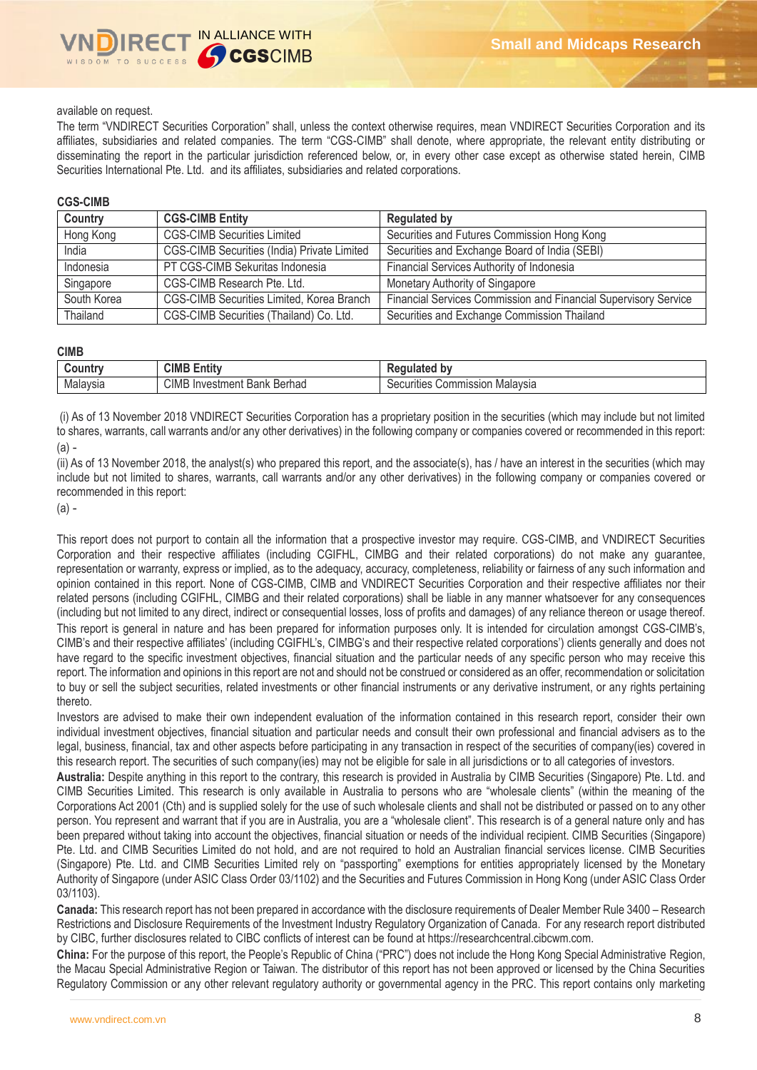### available on request.

The term "VNDIRECT Securities Corporation" shall, unless the context otherwise requires, mean VNDIRECT Securities Corporation and its affiliates, subsidiaries and related companies. The term "CGS-CIMB" shall denote, where appropriate, the relevant entity distributing or disseminating the report in the particular jurisdiction referenced below, or, in every other case except as otherwise stated herein, CIMB Securities International Pte. Ltd. and its affiliates, subsidiaries and related corporations.

### **CGS-CIMB**

| Country     | <b>CGS-CIMB Entity</b>                      | <b>Regulated by</b>                                             |
|-------------|---------------------------------------------|-----------------------------------------------------------------|
| Hong Kong   | <b>CGS-CIMB Securities Limited</b>          | Securities and Futures Commission Hong Kong                     |
| India       | CGS-CIMB Securities (India) Private Limited | Securities and Exchange Board of India (SEBI)                   |
| Indonesia   | PT CGS-CIMB Sekuritas Indonesia             | Financial Services Authority of Indonesia                       |
| Singapore   | CGS-CIMB Research Pte. Ltd.                 | Monetary Authority of Singapore                                 |
| South Korea | CGS-CIMB Securities Limited, Korea Branch   | Financial Services Commission and Financial Supervisory Service |
| Thailand    | CGS-CIMB Securities (Thailand) Co. Ltd.     | Securities and Exchange Commission Thailand                     |

#### **CIMB**

| .ountr<br> | CIMB<br>$\overline{1}$<br>$\equiv$<br><b>Entit</b>                           | bv<br>டய<br>$\sim$                          |
|------------|------------------------------------------------------------------------------|---------------------------------------------|
| Malaysia   | <b>CIMB</b><br>Berhad<br>nvestment<br>In<br>$\overline{\phantom{a}}$<br>Bank | Malavsia<br>ommission<br>Securities<br>UU . |

(i) As of 13 November 2018 VNDIRECT Securities Corporation has a proprietary position in the securities (which may include but not limited to shares, warrants, call warrants and/or any other derivatives) in the following company or companies covered or recommended in this report: (a) -

(ii) As of 13 November 2018, the analyst(s) who prepared this report, and the associate(s), has / have an interest in the securities (which may include but not limited to shares, warrants, call warrants and/or any other derivatives) in the following company or companies covered or recommended in this report:

(a) -

This report does not purport to contain all the information that a prospective investor may require. CGS-CIMB, and VNDIRECT Securities Corporation and their respective affiliates (including CGIFHL, CIMBG and their related corporations) do not make any guarantee, representation or warranty, express or implied, as to the adequacy, accuracy, completeness, reliability or fairness of any such information and opinion contained in this report. None of CGS-CIMB, CIMB and VNDIRECT Securities Corporation and their respective affiliates nor their related persons (including CGIFHL, CIMBG and their related corporations) shall be liable in any manner whatsoever for any consequences (including but not limited to any direct, indirect or consequential losses, loss of profits and damages) of any reliance thereon or usage thereof. This report is general in nature and has been prepared for information purposes only. It is intended for circulation amongst CGS-CIMB's, CIMB's and their respective affiliates' (including CGIFHL's, CIMBG's and their respective related corporations') clients generally and does not have regard to the specific investment objectives, financial situation and the particular needs of any specific person who may receive this report. The information and opinions in this report are not and should not be construed or considered as an offer, recommendation or solicitation to buy or sell the subject securities, related investments or other financial instruments or any derivative instrument, or any rights pertaining thereto.

Investors are advised to make their own independent evaluation of the information contained in this research report, consider their own individual investment objectives, financial situation and particular needs and consult their own professional and financial advisers as to the legal, business, financial, tax and other aspects before participating in any transaction in respect of the securities of company(ies) covered in this research report. The securities of such company(ies) may not be eligible for sale in all jurisdictions or to all categories of investors.

**Australia:** Despite anything in this report to the contrary, this research is provided in Australia by CIMB Securities (Singapore) Pte. Ltd. and CIMB Securities Limited. This research is only available in Australia to persons who are "wholesale clients" (within the meaning of the Corporations Act 2001 (Cth) and is supplied solely for the use of such wholesale clients and shall not be distributed or passed on to any other person. You represent and warrant that if you are in Australia, you are a "wholesale client". This research is of a general nature only and has been prepared without taking into account the objectives, financial situation or needs of the individual recipient. CIMB Securities (Singapore) Pte. Ltd. and CIMB Securities Limited do not hold, and are not required to hold an Australian financial services license. CIMB Securities (Singapore) Pte. Ltd. and CIMB Securities Limited rely on "passporting" exemptions for entities appropriately licensed by the Monetary Authority of Singapore (under ASIC Class Order 03/1102) and the Securities and Futures Commission in Hong Kong (under ASIC Class Order 03/1103).

**Canada:** This research report has not been prepared in accordance with the disclosure requirements of Dealer Member Rule 3400 – Research Restrictions and Disclosure Requirements of the Investment Industry Regulatory Organization of Canada. For any research report distributed by CIBC, further disclosures related to CIBC conflicts of interest can be found at https://researchcentral.cibcwm.com.

**China:** For the purpose of this report, the People's Republic of China ("PRC") does not include the Hong Kong Special Administrative Region, the Macau Special Administrative Region or Taiwan. The distributor of this report has not been approved or licensed by the China Securities Regulatory Commission or any other relevant regulatory authority or governmental agency in the PRC. This report contains only marketing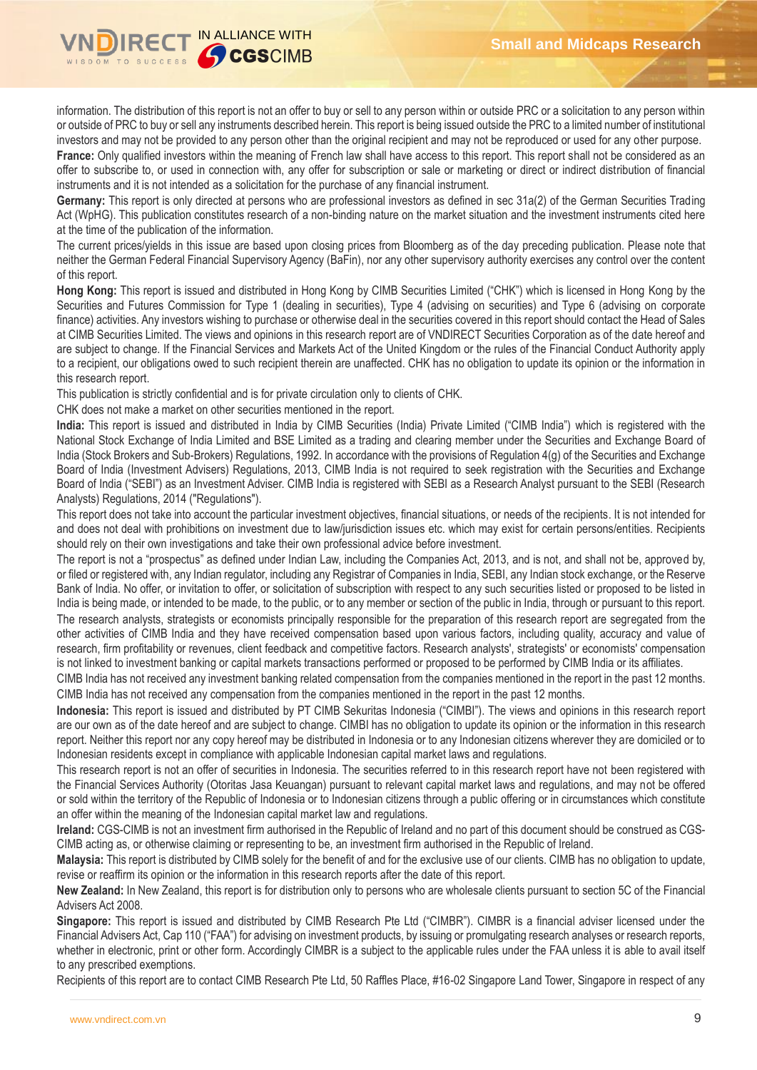

information. The distribution of this report is not an offer to buy or sell to any person within or outside PRC or a solicitation to any person within or outside of PRC to buy or sell any instruments described herein. This report is being issued outside the PRC to a limited number of institutional investors and may not be provided to any person other than the original recipient and may not be reproduced or used for any other purpose.

France: Only qualified investors within the meaning of French law shall have access to this report. This report shall not be considered as an offer to subscribe to, or used in connection with, any offer for subscription or sale or marketing or direct or indirect distribution of financial instruments and it is not intended as a solicitation for the purchase of any financial instrument.

**Germany:** This report is only directed at persons who are professional investors as defined in sec 31a(2) of the German Securities Trading Act (WpHG). This publication constitutes research of a non-binding nature on the market situation and the investment instruments cited here at the time of the publication of the information.

The current prices/yields in this issue are based upon closing prices from Bloomberg as of the day preceding publication. Please note that neither the German Federal Financial Supervisory Agency (BaFin), nor any other supervisory authority exercises any control over the content of this report.

**Hong Kong:** This report is issued and distributed in Hong Kong by CIMB Securities Limited ("CHK") which is licensed in Hong Kong by the Securities and Futures Commission for Type 1 (dealing in securities), Type 4 (advising on securities) and Type 6 (advising on corporate finance) activities. Any investors wishing to purchase or otherwise deal in the securities covered in this report should contact the Head of Sales at CIMB Securities Limited. The views and opinions in this research report are of VNDIRECT Securities Corporation as of the date hereof and are subject to change. If the Financial Services and Markets Act of the United Kingdom or the rules of the Financial Conduct Authority apply to a recipient, our obligations owed to such recipient therein are unaffected. CHK has no obligation to update its opinion or the information in this research report.

This publication is strictly confidential and is for private circulation only to clients of CHK.

CHK does not make a market on other securities mentioned in the report.

**India:** This report is issued and distributed in India by CIMB Securities (India) Private Limited ("CIMB India") which is registered with the National Stock Exchange of India Limited and BSE Limited as a trading and clearing member under the Securities and Exchange Board of India (Stock Brokers and Sub-Brokers) Regulations, 1992. In accordance with the provisions of Regulation 4(g) of the Securities and Exchange Board of India (Investment Advisers) Regulations, 2013, CIMB India is not required to seek registration with the Securities and Exchange Board of India ("SEBI") as an Investment Adviser. CIMB India is registered with SEBI as a Research Analyst pursuant to the SEBI (Research Analysts) Regulations, 2014 ("Regulations").

This report does not take into account the particular investment objectives, financial situations, or needs of the recipients. It is not intended for and does not deal with prohibitions on investment due to law/jurisdiction issues etc. which may exist for certain persons/entities. Recipients should rely on their own investigations and take their own professional advice before investment.

The report is not a "prospectus" as defined under Indian Law, including the Companies Act, 2013, and is not, and shall not be, approved by, or filed or registered with, any Indian regulator, including any Registrar of Companies in India, SEBI, any Indian stock exchange, or the Reserve Bank of India. No offer, or invitation to offer, or solicitation of subscription with respect to any such securities listed or proposed to be listed in India is being made, or intended to be made, to the public, or to any member or section of the public in India, through or pursuant to this report. The research analysts, strategists or economists principally responsible for the preparation of this research report are segregated from the other activities of CIMB India and they have received compensation based upon various factors, including quality, accuracy and value of research, firm profitability or revenues, client feedback and competitive factors. Research analysts', strategists' or economists' compensation is not linked to investment banking or capital markets transactions performed or proposed to be performed by CIMB India or its affiliates.

CIMB India has not received any investment banking related compensation from the companies mentioned in the report in the past 12 months. CIMB India has not received any compensation from the companies mentioned in the report in the past 12 months.

**Indonesia:** This report is issued and distributed by PT CIMB Sekuritas Indonesia ("CIMBI"). The views and opinions in this research report are our own as of the date hereof and are subject to change. CIMBI has no obligation to update its opinion or the information in this research report. Neither this report nor any copy hereof may be distributed in Indonesia or to any Indonesian citizens wherever they are domiciled or to Indonesian residents except in compliance with applicable Indonesian capital market laws and regulations.

This research report is not an offer of securities in Indonesia. The securities referred to in this research report have not been registered with the Financial Services Authority (Otoritas Jasa Keuangan) pursuant to relevant capital market laws and regulations, and may not be offered or sold within the territory of the Republic of Indonesia or to Indonesian citizens through a public offering or in circumstances which constitute an offer within the meaning of the Indonesian capital market law and regulations.

**Ireland:** CGS-CIMB is not an investment firm authorised in the Republic of Ireland and no part of this document should be construed as CGS-CIMB acting as, or otherwise claiming or representing to be, an investment firm authorised in the Republic of Ireland.

**Malaysia:** This report is distributed by CIMB solely for the benefit of and for the exclusive use of our clients. CIMB has no obligation to update, revise or reaffirm its opinion or the information in this research reports after the date of this report.

**New Zealand:** In New Zealand, this report is for distribution only to persons who are wholesale clients pursuant to section 5C of the Financial Advisers Act 2008.

**Singapore:** This report is issued and distributed by CIMB Research Pte Ltd ("CIMBR"). CIMBR is a financial adviser licensed under the Financial Advisers Act, Cap 110 ("FAA") for advising on investment products, by issuing or promulgating research analyses or research reports, whether in electronic, print or other form. Accordingly CIMBR is a subject to the applicable rules under the FAA unless it is able to avail itself to any prescribed exemptions.

Recipients of this report are to contact CIMB Research Pte Ltd, 50 Raffles Place, #16-02 Singapore Land Tower, Singapore in respect of any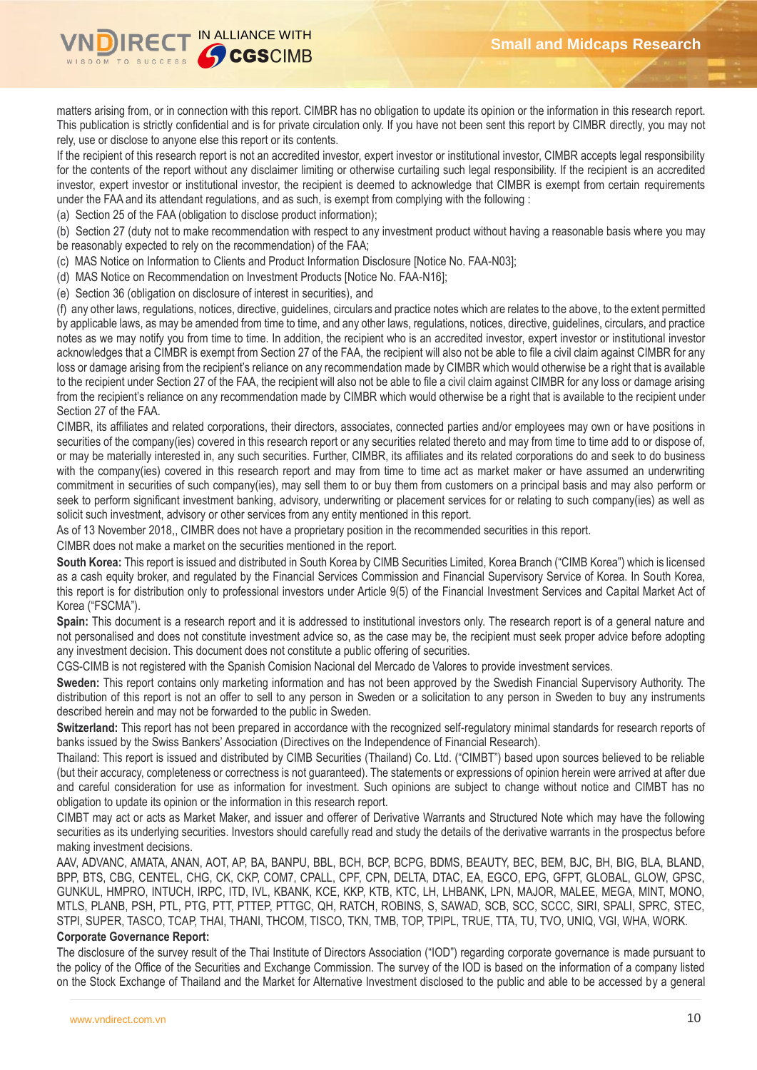

matters arising from, or in connection with this report. CIMBR has no obligation to update its opinion or the information in this research report. This publication is strictly confidential and is for private circulation only. If you have not been sent this report by CIMBR directly, you may not rely, use or disclose to anyone else this report or its contents.

If the recipient of this research report is not an accredited investor, expert investor or institutional investor, CIMBR accepts legal responsibility for the contents of the report without any disclaimer limiting or otherwise curtailing such legal responsibility. If the recipient is an accredited investor, expert investor or institutional investor, the recipient is deemed to acknowledge that CIMBR is exempt from certain requirements under the FAA and its attendant regulations, and as such, is exempt from complying with the following :

(a) Section 25 of the FAA (obligation to disclose product information);

(b) Section 27 (duty not to make recommendation with respect to any investment product without having a reasonable basis where you may be reasonably expected to rely on the recommendation) of the FAA;

(c) MAS Notice on Information to Clients and Product Information Disclosure [Notice No. FAA-N03];

(d) MAS Notice on Recommendation on Investment Products [Notice No. FAA-N16];

(e) Section 36 (obligation on disclosure of interest in securities), and

(f) any other laws, regulations, notices, directive, guidelines, circulars and practice notes which are relates to the above, to the extent permitted by applicable laws, as may be amended from time to time, and any other laws, regulations, notices, directive, guidelines, circulars, and practice notes as we may notify you from time to time. In addition, the recipient who is an accredited investor, expert investor or institutional investor acknowledges that a CIMBR is exempt from Section 27 of the FAA, the recipient will also not be able to file a civil claim against CIMBR for any loss or damage arising from the recipient's reliance on any recommendation made by CIMBR which would otherwise be a right that is available to the recipient under Section 27 of the FAA, the recipient will also not be able to file a civil claim against CIMBR for any loss or damage arising from the recipient's reliance on any recommendation made by CIMBR which would otherwise be a right that is available to the recipient under Section 27 of the FAA.

CIMBR, its affiliates and related corporations, their directors, associates, connected parties and/or employees may own or have positions in securities of the company(ies) covered in this research report or any securities related thereto and may from time to time add to or dispose of, or may be materially interested in, any such securities. Further, CIMBR, its affiliates and its related corporations do and seek to do business with the company(ies) covered in this research report and may from time to time act as market maker or have assumed an underwriting commitment in securities of such company(ies), may sell them to or buy them from customers on a principal basis and may also perform or seek to perform significant investment banking, advisory, underwriting or placement services for or relating to such company(ies) as well as solicit such investment, advisory or other services from any entity mentioned in this report.

As of 13 November 2018,, CIMBR does not have a proprietary position in the recommended securities in this report.

CIMBR does not make a market on the securities mentioned in the report.

**South Korea:** This report is issued and distributed in South Korea by CIMB Securities Limited, Korea Branch ("CIMB Korea") which is licensed as a cash equity broker, and regulated by the Financial Services Commission and Financial Supervisory Service of Korea. In South Korea, this report is for distribution only to professional investors under Article 9(5) of the Financial Investment Services and Capital Market Act of Korea ("FSCMA").

**Spain:** This document is a research report and it is addressed to institutional investors only. The research report is of a general nature and not personalised and does not constitute investment advice so, as the case may be, the recipient must seek proper advice before adopting any investment decision. This document does not constitute a public offering of securities.

CGS-CIMB is not registered with the Spanish Comision Nacional del Mercado de Valores to provide investment services.

**Sweden:** This report contains only marketing information and has not been approved by the Swedish Financial Supervisory Authority. The distribution of this report is not an offer to sell to any person in Sweden or a solicitation to any person in Sweden to buy any instruments described herein and may not be forwarded to the public in Sweden.

**Switzerland:** This report has not been prepared in accordance with the recognized self-regulatory minimal standards for research reports of banks issued by the Swiss Bankers' Association (Directives on the Independence of Financial Research).

Thailand: This report is issued and distributed by CIMB Securities (Thailand) Co. Ltd. ("CIMBT") based upon sources believed to be reliable (but their accuracy, completeness or correctness is not guaranteed). The statements or expressions of opinion herein were arrived at after due and careful consideration for use as information for investment. Such opinions are subject to change without notice and CIMBT has no obligation to update its opinion or the information in this research report.

CIMBT may act or acts as Market Maker, and issuer and offerer of Derivative Warrants and Structured Note which may have the following securities as its underlying securities. Investors should carefully read and study the details of the derivative warrants in the prospectus before making investment decisions.

AAV, ADVANC, AMATA, ANAN, AOT, AP, BA, BANPU, BBL, BCH, BCP, BCPG, BDMS, BEAUTY, BEC, BEM, BJC, BH, BIG, BLA, BLAND, BPP, BTS, CBG, CENTEL, CHG, CK, CKP, COM7, CPALL, CPF, CPN, DELTA, DTAC, EA, EGCO, EPG, GFPT, GLOBAL, GLOW, GPSC, GUNKUL, HMPRO, INTUCH, IRPC, ITD, IVL, KBANK, KCE, KKP, KTB, KTC, LH, LHBANK, LPN, MAJOR, MALEE, MEGA, MINT, MONO, MTLS, PLANB, PSH, PTL, PTG, PTT, PTTEP, PTTGC, QH, RATCH, ROBINS, S, SAWAD, SCB, SCC, SCCC, SIRI, SPALI, SPRC, STEC, STPI, SUPER, TASCO, TCAP, THAI, THANI, THCOM, TISCO, TKN, TMB, TOP, TPIPL, TRUE, TTA, TU, TVO, UNIQ, VGI, WHA, WORK.

### **Corporate Governance Report:**

The disclosure of the survey result of the Thai Institute of Directors Association ("IOD") regarding corporate governance is made pursuant to the policy of the Office of the Securities and Exchange Commission. The survey of the IOD is based on the information of a company listed on the Stock Exchange of Thailand and the Market for Alternative Investment disclosed to the public and able to be accessed by a general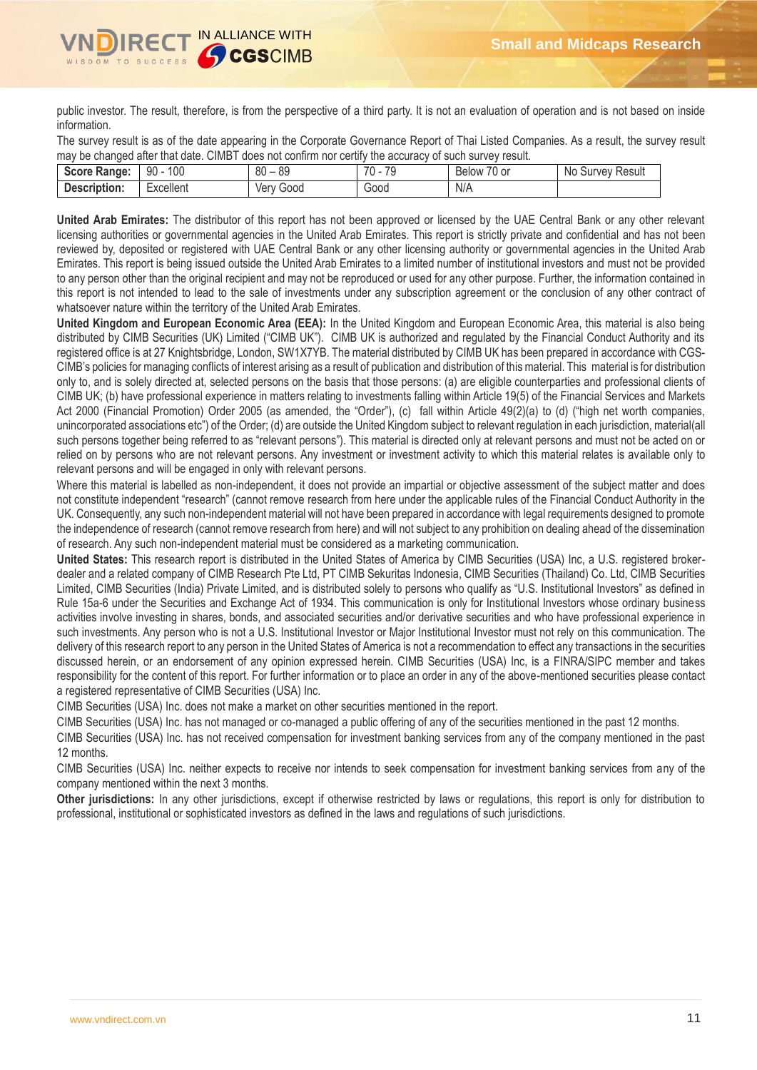

public investor. The result, therefore, is from the perspective of a third party. It is not an evaluation of operation and is not based on inside information.

The survey result is as of the date appearing in the Corporate Governance Report of Thai Listed Companies. As a result, the survey result may be changed after that date. CIMBT does not confirm nor certify the accuracy of such survey result.

| Score Range: | 100<br>90 | $\circ$<br>80<br>ŏყ | 70<br>70<br>- 14 | $\sim$ $\sim$<br>$\sim$<br>/0 or<br>Below | Survey Result<br>No. |
|--------------|-----------|---------------------|------------------|-------------------------------------------|----------------------|
| Description: | -xcellent | Good<br>Verv        | 00dر             | N/A                                       |                      |

**United Arab Emirates:** The distributor of this report has not been approved or licensed by the UAE Central Bank or any other relevant licensing authorities or governmental agencies in the United Arab Emirates. This report is strictly private and confidential and has not been reviewed by, deposited or registered with UAE Central Bank or any other licensing authority or governmental agencies in the United Arab Emirates. This report is being issued outside the United Arab Emirates to a limited number of institutional investors and must not be provided to any person other than the original recipient and may not be reproduced or used for any other purpose. Further, the information contained in this report is not intended to lead to the sale of investments under any subscription agreement or the conclusion of any other contract of whatsoever nature within the territory of the United Arab Emirates.

**United Kingdom and European Economic Area (EEA):** In the United Kingdom and European Economic Area, this material is also being distributed by CIMB Securities (UK) Limited ("CIMB UK"). CIMB UK is authorized and regulated by the Financial Conduct Authority and its registered office is at 27 Knightsbridge, London, SW1X7YB. The material distributed by CIMB UK has been prepared in accordance with CGS-CIMB's policies for managing conflicts of interest arising as a result of publication and distribution of this material. This material is for distribution only to, and is solely directed at, selected persons on the basis that those persons: (a) are eligible counterparties and professional clients of CIMB UK; (b) have professional experience in matters relating to investments falling within Article 19(5) of the Financial Services and Markets Act 2000 (Financial Promotion) Order 2005 (as amended, the "Order"), (c) fall within Article 49(2)(a) to (d) ("high net worth companies, unincorporated associations etc") of the Order; (d) are outside the United Kingdom subject to relevant regulation in each jurisdiction, material(all such persons together being referred to as "relevant persons"). This material is directed only at relevant persons and must not be acted on or relied on by persons who are not relevant persons. Any investment or investment activity to which this material relates is available only to relevant persons and will be engaged in only with relevant persons.

Where this material is labelled as non-independent, it does not provide an impartial or objective assessment of the subject matter and does not constitute independent "research" (cannot remove research from here under the applicable rules of the Financial Conduct Authority in the UK. Consequently, any such non-independent material will not have been prepared in accordance with legal requirements designed to promote the independence of research (cannot remove research from here) and will not subject to any prohibition on dealing ahead of the dissemination of research. Any such non-independent material must be considered as a marketing communication.

**United States:** This research report is distributed in the United States of America by CIMB Securities (USA) Inc, a U.S. registered brokerdealer and a related company of CIMB Research Pte Ltd, PT CIMB Sekuritas Indonesia, CIMB Securities (Thailand) Co. Ltd, CIMB Securities Limited, CIMB Securities (India) Private Limited, and is distributed solely to persons who qualify as "U.S. Institutional Investors" as defined in Rule 15a-6 under the Securities and Exchange Act of 1934. This communication is only for Institutional Investors whose ordinary business activities involve investing in shares, bonds, and associated securities and/or derivative securities and who have professional experience in such investments. Any person who is not a U.S. Institutional Investor or Major Institutional Investor must not rely on this communication. The delivery of this research report to any person in the United States of America is not a recommendation to effect any transactions in the securities discussed herein, or an endorsement of any opinion expressed herein. CIMB Securities (USA) Inc, is a FINRA/SIPC member and takes responsibility for the content of this report. For further information or to place an order in any of the above-mentioned securities please contact a registered representative of CIMB Securities (USA) Inc.

CIMB Securities (USA) Inc. does not make a market on other securities mentioned in the report.

CIMB Securities (USA) Inc. has not managed or co-managed a public offering of any of the securities mentioned in the past 12 months.

CIMB Securities (USA) Inc. has not received compensation for investment banking services from any of the company mentioned in the past 12 months.

CIMB Securities (USA) Inc. neither expects to receive nor intends to seek compensation for investment banking services from any of the company mentioned within the next 3 months.

**Other jurisdictions:** In any other jurisdictions, except if otherwise restricted by laws or regulations, this report is only for distribution to professional, institutional or sophisticated investors as defined in the laws and regulations of such jurisdictions.